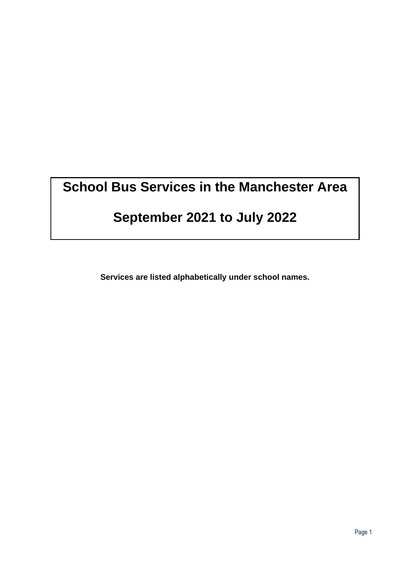# **School Bus Services in the Manchester Area**

# **September 2021 to July 2022**

**Services are listed alphabetically under school names.**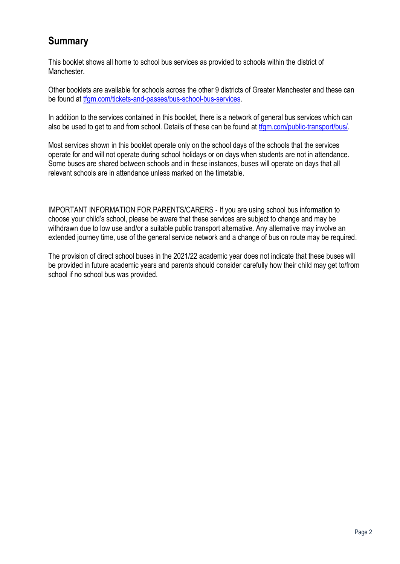# **Summary**

This booklet shows all home to school bus services as provided to schools within the district of Manchester.

Other booklets are available for schools across the other 9 districts of Greater Manchester and these can be found at [tfgm.com/tickets-and-passes/bus-school-bus-services.](https://tfgm.com/tickets-and-passes/bus-school-bus-services)

In addition to the services contained in this booklet, there is a network of general bus services which can also be used to get to and from school. Details of these can be found at [tfgm.com/public-transport/bus/.](https://tfgm.com/public-transport/bus/)

Most services shown in this booklet operate only on the school days of the schools that the services operate for and will not operate during school holidays or on days when students are not in attendance. Some buses are shared between schools and in these instances, buses will operate on days that all relevant schools are in attendance unless marked on the timetable.

IMPORTANT INFORMATION FOR PARENTS/CARERS - If you are using school bus information to choose your child's school, please be aware that these services are subject to change and may be withdrawn due to low use and/or a suitable public transport alternative. Any alternative may involve an extended journey time, use of the general service network and a change of bus on route may be required.

The provision of direct school buses in the 2021/22 academic year does not indicate that these buses will be provided in future academic years and parents should consider carefully how their child may get to/from school if no school bus was provided.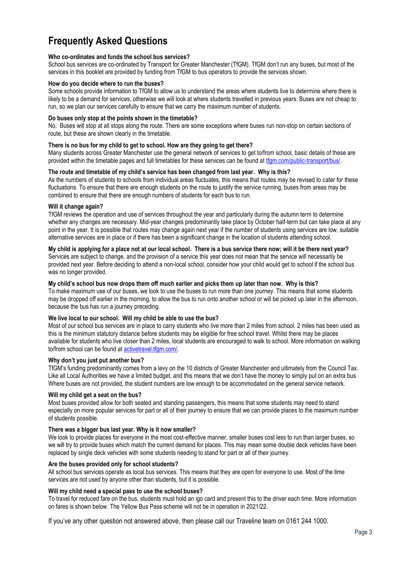# **Frequently Asked Questions**

### **Who co-ordinates and funds the school bus services?**

School bus services are co-ordinated by Transport for Greater Manchester (TfGM). TfGM don't run any buses, but most of the services in this booklet are provided by funding from TfGM to bus operators to provide the services shown.

#### **How do you decide where to run the buses?**

Some schools provide information to TfGM to allow us to understand the areas where students live to determine where there is likely to be a demand for services, otherwise we will look at where students travelled in previous years. Buses are not cheap to run, so we plan our services carefully to ensure that we carry the maximum number of students.

#### **Do buses only stop at the points shown in the timetable?**

No. Buses will stop at all stops along the route. There are some exceptions where buses run non-stop on certain sections of route, but these are shown clearly in the timetable.

#### **There is no bus for my child to get to school. How are they going to get there?**

Many students across Greater Manchester use the general network of services to get to/from school, basic details of these are provided within the timetable pages and full timetables for these services can be found a[t tfgm.com/public-transport/bus/.](https://tfgm.com/public-transport/bus/)

#### **The route and timetable of my child's service has been changed from last year. Why is this?**

As the numbers of students to schools from individual areas fluctuates, this means that routes may be revised to cater for these fluctuations. To ensure that there are enough students on the route to justify the service running, buses from areas may be combined to ensure that there are enough numbers of students for each bus to run.

#### **Will it change again?**

TfGM reviews the operation and use of services throughout the year and particularly during the autumn term to determine whether any changes are necessary. Mid-year changes predominantly take place by October half-term but can take place at any point in the year. It is possible that routes may change again next year if the number of students using services are low, suitable alternative services are in place or if there has been a significant change in the location of students attending school.

#### **My child is applying for a place not at our local school. There is a bus service there now; will it be there next year?**

Services are subject to change, and the provision of a service this year does not mean that the service will necessarily be provided next year. Before deciding to attend a non-local school, consider how your child would get to school if the school bus was no longer provided.

#### **My child's school bus now drops them off much earlier and picks them up later than now. Why is this?**

To make maximum use of our buses, we look to use the buses to run more than one journey. This means that some students may be dropped off earlier in the morning, to allow the bus to run onto another school or will be picked up later in the afternoon, because the bus has run a journey preceding.

### **We live local to our school. Will my child be able to use the bus?**

Most of our school bus services are in place to carry students who live more than 2 miles from school. 2 miles has been used as this is the minimum statutory distance before students may be eligible for free school travel. Whilst there may be places available for students who live closer than 2 miles, local students are encouraged to walk to school. More information on walking to/from school can be found at [activetravel.tfgm.com/.](https://activetravel.tfgm.com/)

### **Why don't you just put another bus?**

TfGM's funding predominantly comes from a levy on the 10 districts of Greater Manchester and ultimately from the Council Tax. Like all Local Authorities we have a limited budget, and this means that we don't have the money to simply put on an extra bus. Where buses are not provided, the student numbers are low enough to be accommodated on the general service network.

### **Will my child get a seat on the bus?**

Most buses provided allow for both seated and standing passengers, this means that some students may need to stand especially on more popular services for part or all of their journey to ensure that we can provide places to the maximum number of students possible.

#### **There was a bigger bus last year. Why is it now smaller?**

We look to provide places for everyone in the most cost-effective manner, smaller buses cost less to run than larger buses, so we will try to provide buses which match the current demand for places. This may mean some double deck vehicles have been replaced by single deck vehicles with some students needing to stand for part or all of their journey.

#### **Are the buses provided only for school students?**

All school bus services operate as local bus services. This means that they are open for everyone to use. Most of the time services are not used by anyone other than students, but it is possible.

### **Will my child need a special pass to use the school buses?**

To travel for reduced fare on the bus, students must hold an igo card and present this to the driver each time. More information on fares is shown below. The Yellow Bus Pass scheme will not be in operation in 2021/22.

If you've any other question not answered above, then please call our Traveline team on 0161 244 1000.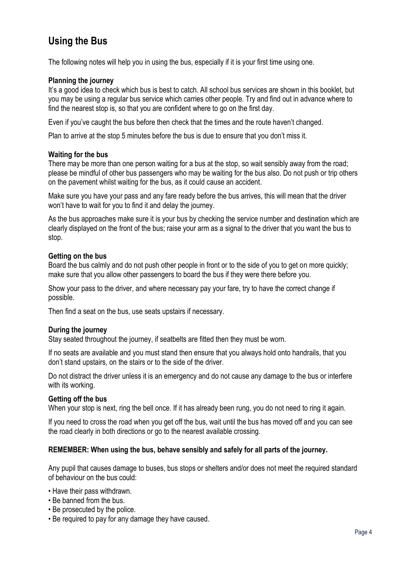# **Using the Bus**

The following notes will help you in using the bus, especially if it is your first time using one.

### **Planning the journey**

It's a good idea to check which bus is best to catch. All school bus services are shown in this booklet, but you may be using a regular bus service which carries other people. Try and find out in advance where to find the nearest stop is, so that you are confident where to go on the first day.

Even if you've caught the bus before then check that the times and the route haven't changed.

Plan to arrive at the stop 5 minutes before the bus is due to ensure that you don't miss it.

### **Waiting for the bus**

There may be more than one person waiting for a bus at the stop, so wait sensibly away from the road; please be mindful of other bus passengers who may be waiting for the bus also. Do not push or trip others on the pavement whilst waiting for the bus, as it could cause an accident.

Make sure you have your pass and any fare ready before the bus arrives, this will mean that the driver won't have to wait for you to find it and delay the journey.

As the bus approaches make sure it is your bus by checking the service number and destination which are clearly displayed on the front of the bus; raise your arm as a signal to the driver that you want the bus to stop.

### **Getting on the bus**

Board the bus calmly and do not push other people in front or to the side of you to get on more quickly; make sure that you allow other passengers to board the bus if they were there before you.

Show your pass to the driver, and where necessary pay your fare, try to have the correct change if possible.

Then find a seat on the bus, use seats upstairs if necessary.

### **During the journey**

Stay seated throughout the journey, if seatbelts are fitted then they must be worn.

If no seats are available and you must stand then ensure that you always hold onto handrails, that you don't stand upstairs, on the stairs or to the side of the driver.

Do not distract the driver unless it is an emergency and do not cause any damage to the bus or interfere with its working.

### **Getting off the bus**

When your stop is next, ring the bell once. If it has already been rung, you do not need to ring it again.

If you need to cross the road when you get off the bus, wait until the bus has moved off and you can see the road clearly in both directions or go to the nearest available crossing.

### **REMEMBER: When using the bus, behave sensibly and safely for all parts of the journey.**

Any pupil that causes damage to buses, bus stops or shelters and/or does not meet the required standard of behaviour on the bus could:

- Have their pass withdrawn.
- Be banned from the bus.
- Be prosecuted by the police.
- Be required to pay for any damage they have caused.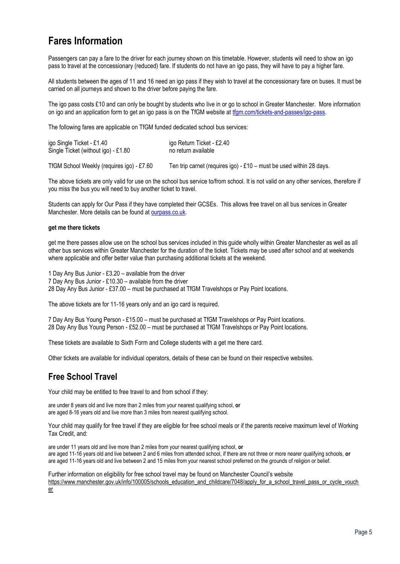# **Fares Information**

Passengers can pay a fare to the driver for each journey shown on this timetable. However, students will need to show an igo pass to travel at the concessionary (reduced) fare. If students do not have an igo pass, they will have to pay a higher fare.

All students between the ages of 11 and 16 need an igo pass if they wish to travel at the concessionary fare on buses. It must be carried on all journeys and shown to the driver before paying the fare.

The igo pass costs £10 and can only be bought by students who live in or go to school in Greater Manchester. More information on igo and an application form to get an igo pass is on the TfGM website a[t tfgm.com/tickets-and-passes/igo-pass.](https://tfgm.com/tickets-and-passes/igo-pass)

The following fares are applicable on TfGM funded dedicated school bus services:

| igo Single Ticket - £1.40           | igo Return Ticket - £2.40 |
|-------------------------------------|---------------------------|
| Single Ticket (without igo) - £1.80 | no return available       |
|                                     |                           |

TfGM School Weekly (requires igo) - £7.60 Ten trip carnet (requires igo) - £10 – must be used within 28 days.

The above tickets are only valid for use on the school bus service to/from school. It is not valid on any other services, therefore if you miss the bus you will need to buy another ticket to travel.

Students can apply for Our Pass if they have completed their GCSEs. This allows free travel on all bus services in Greater Manchester. More details can be found at [ourpass.co.uk.](http://ourpass.co.uk/)

#### **get me there tickets**

get me there passes allow use on the school bus services included in this guide wholly within Greater Manchester as well as all other bus services within Greater Manchester for the duration of the ticket. Tickets may be used after school and at weekends where applicable and offer better value than purchasing additional tickets at the weekend.

1 Day Any Bus Junior - £3.20 – available from the driver 7 Day Any Bus Junior - £10.30 – available from the driver 28 Day Any Bus Junior - £37.00 – must be purchased at TfGM Travelshops or Pay Point locations.

The above tickets are for 11-16 years only and an igo card is required.

7 Day Any Bus Young Person - £15.00 – must be purchased at TfGM Travelshops or Pay Point locations. 28 Day Any Bus Young Person - £52.00 – must be purchased at TfGM Travelshops or Pay Point locations.

These tickets are available to Sixth Form and College students with a get me there card.

Other tickets are available for individual operators, details of these can be found on their respective websites.

### **Free School Travel**

Your child may be entitled to free travel to and from school if they:

are under 8 years old and live more than 2 miles from your nearest qualifying school, **or** are aged 8-16 years old and live more than 3 miles from nearest qualifying school.

Your child may qualify for free travel if they are eligible for free school meals or if the parents receive maximum level of Working Tax Credit, and:

are under 11 years old and live more than 2 miles from your nearest qualifying school, **or** are aged 11-16 years old and live between 2 and 6 miles from attended school, if there are not three or more nearer qualifying schools, **or** are aged 11-16 years old and live between 2 and 15 miles from your nearest school preferred on the grounds of religion or belief.

Further information on eligibility for free school travel may be found on Manchester Council's website [https://www.manchester.gov.uk/info/100005/schools\\_education\\_and\\_childcare/7048/apply\\_for\\_a\\_school\\_travel\\_pass\\_or\\_cycle\\_vouch](https://www.manchester.gov.uk/info/100005/schools_education_and_childcare/7048/apply_for_a_school_travel_pass_or_cycle_voucher) [er](https://www.manchester.gov.uk/info/100005/schools_education_and_childcare/7048/apply_for_a_school_travel_pass_or_cycle_voucher)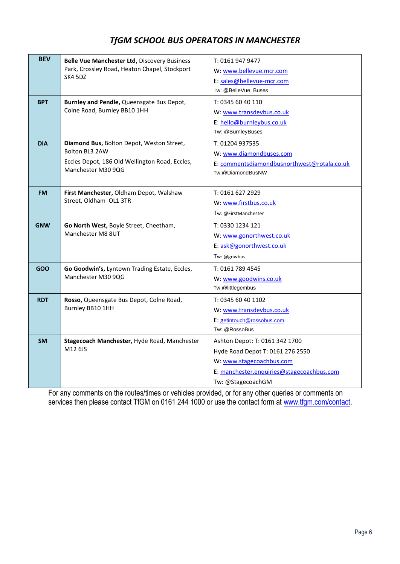### *TfGM SCHOOL BUS OPERATORS IN MANCHESTER*

| <b>BEV</b> | Belle Vue Manchester Ltd, Discovery Business<br>Park, Crossley Road, Heaton Chapel, Stockport<br>SK4 5DZ                            | T: 0161 947 9477<br>W: www.bellevue.mcr.com<br>E: sales@bellevue-mcr.com<br>Tw: @BelleVue_Buses                                                                  |
|------------|-------------------------------------------------------------------------------------------------------------------------------------|------------------------------------------------------------------------------------------------------------------------------------------------------------------|
| <b>BPT</b> | Burnley and Pendle, Queensgate Bus Depot,<br>Colne Road, Burnley BB10 1HH                                                           | T: 0345 60 40 110<br>W: www.transdevbus.co.uk<br>E: hello@burnleybus.co.uk<br>Tw: @BurnleyBuses                                                                  |
| <b>DIA</b> | Diamond Bus, Bolton Depot, Weston Street,<br>Bolton BL3 2AW<br>Eccles Depot, 186 Old Wellington Road, Eccles,<br>Manchester M30 9QG | T: 01204 937535<br>W: www.diamondbuses.com<br>E: commentsdiamondbusnorthwest@rotala.co.uk<br>Tw: @DiamondBusNW                                                   |
| <b>FM</b>  | First Manchester, Oldham Depot, Walshaw<br>Street, Oldham OL1 3TR                                                                   | T: 0161 627 2929<br>W: www.firstbus.co.uk<br>Tw: @FirstManchester                                                                                                |
| <b>GNW</b> | Go North West, Boyle Street, Cheetham,<br>Manchester M8 8UT                                                                         | T: 0330 1234 121<br>W: www.gonorthwest.co.uk<br>E: ask@gonorthwest.co.uk<br>Tw: @gnwbus                                                                          |
| GOO        | Go Goodwin's, Lyntown Trading Estate, Eccles,<br>Manchester M30 9QG                                                                 | T: 0161 789 4545<br>W: www.goodwins.co.uk<br>Tw:@littlegembus                                                                                                    |
| <b>RDT</b> | Rosso, Queensgate Bus Depot, Colne Road,<br>Burnley BB10 1HH                                                                        | T: 0345 60 40 1102<br>W: www.transdevbus.co.uk<br>E: getintouch@rossobus.com<br>Tw: @RossoBus                                                                    |
| <b>SM</b>  | Stagecoach Manchester, Hyde Road, Manchester<br>M12 6JS                                                                             | Ashton Depot: T: 0161 342 1700<br>Hyde Road Depot T: 0161 276 2550<br>W: www.stagecoachbus.com<br>E: manchester.enquiries@stagecoachbus.com<br>Tw: @StagecoachGM |

For any comments on the routes/times or vehicles provided, or for any other queries or comments on services then please contact TfGM on 0161 244 1000 or use the contact form at [www.tfgm.com/contact.](http://www.tfgm.com/contact)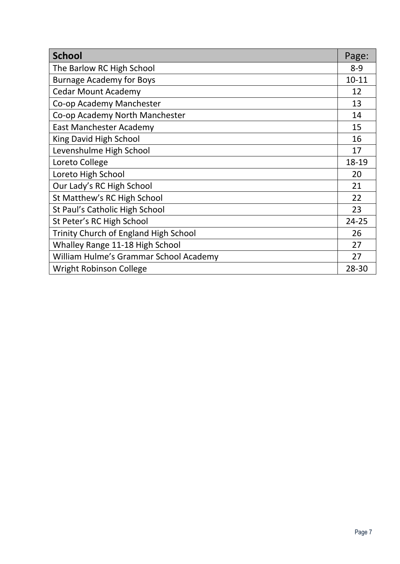| <b>School</b>                                | Page:     |
|----------------------------------------------|-----------|
| The Barlow RC High School                    | $8 - 9$   |
| <b>Burnage Academy for Boys</b>              | $10 - 11$ |
| <b>Cedar Mount Academy</b>                   | 12        |
| Co-op Academy Manchester                     | 13        |
| Co-op Academy North Manchester               | 14        |
| East Manchester Academy                      | 15        |
| King David High School                       | 16        |
| Levenshulme High School                      | 17        |
| Loreto College                               | 18-19     |
| Loreto High School                           | 20        |
| Our Lady's RC High School                    | 21        |
| St Matthew's RC High School                  | 22        |
| St Paul's Catholic High School               | 23        |
| St Peter's RC High School                    | 24-25     |
| <b>Trinity Church of England High School</b> | 26        |
| Whalley Range 11-18 High School              | 27        |
| William Hulme's Grammar School Academy       | 27        |
| <b>Wright Robinson College</b>               | 28-30     |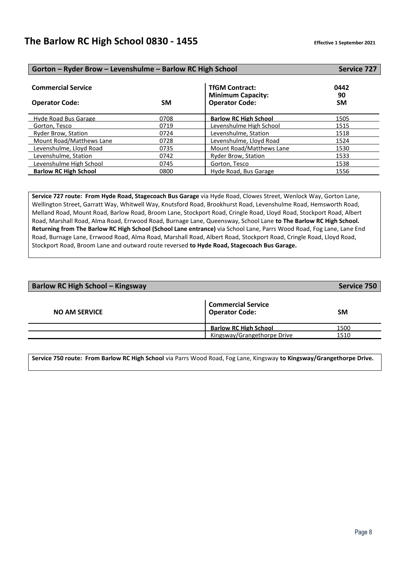| Gorton - Ryder Brow - Levenshulme - Barlow RC High School |           |                                                                            | <b>Service 727</b>      |
|-----------------------------------------------------------|-----------|----------------------------------------------------------------------------|-------------------------|
| <b>Commercial Service</b><br><b>Operator Code:</b>        | <b>SM</b> | <b>TfGM Contract:</b><br><b>Minimum Capacity:</b><br><b>Operator Code:</b> | 0442<br>90<br><b>SM</b> |
| Hyde Road Bus Garage                                      | 0708      | <b>Barlow RC High School</b>                                               | 1505                    |
| Gorton, Tesco                                             | 0719      | Levenshulme High School                                                    | 1515                    |
| Ryder Brow, Station                                       | 0724      | Levenshulme, Station                                                       | 1518                    |
| Mount Road/Matthews Lane                                  | 0728      | Levenshulme, Lloyd Road                                                    | 1524                    |
| Levenshulme, Lloyd Road                                   | 0735      | Mount Road/Matthews Lane                                                   | 1530                    |
| Levenshulme, Station                                      | 0742      | <b>Ryder Brow, Station</b>                                                 | 1533                    |
| Levenshulme High School                                   | 0745      | Gorton, Tesco                                                              | 1538                    |
| <b>Barlow RC High School</b>                              | 0800      | Hyde Road, Bus Garage                                                      | 1556                    |

**Service 727 route: From Hyde Road, Stagecoach Bus Garage** via Hyde Road, Clowes Street, Wenlock Way, Gorton Lane, Wellington Street, Garratt Way, Whitwell Way, Knutsford Road, Brookhurst Road, Levenshulme Road, Hemsworth Road, Melland Road, Mount Road, Barlow Road, Broom Lane, Stockport Road, Cringle Road, Lloyd Road, Stockport Road, Albert Road, Marshall Road, Alma Road, Errwood Road, Burnage Lane, Queensway, School Lane **to The Barlow RC High School. Returning from The Barlow RC High School (School Lane entrance)** via School Lane, Parrs Wood Road, Fog Lane, Lane End Road, Burnage Lane, Errwood Road, Alma Road, Marshall Road, Albert Road, Stockport Road, Cringle Road, Lloyd Road, Stockport Road, Broom Lane and outward route reversed **to Hyde Road, Stagecoach Bus Garage.**

| <b>Barlow RC High School - Kingsway</b>            |           |  |
|----------------------------------------------------|-----------|--|
| <b>Commercial Service</b><br><b>Operator Code:</b> | <b>SM</b> |  |
| <b>Barlow RC High School</b>                       | 1500      |  |
| Kingsway/Grangethorpe Drive                        | 1510      |  |
|                                                    |           |  |

**Service 750 route: From Barlow RC High School** via Parrs Wood Road, Fog Lane, Kingsway **to Kingsway/Grangethorpe Drive.**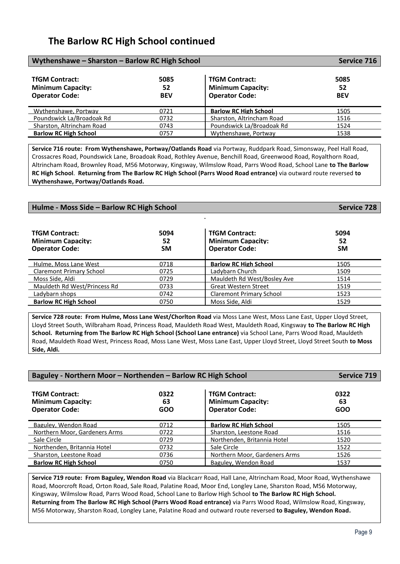### **The Barlow RC High School continued**

| Wythenshawe - Sharston - Barlow RC High School                             |                          |                                                                            | Service 716              |
|----------------------------------------------------------------------------|--------------------------|----------------------------------------------------------------------------|--------------------------|
| <b>TfGM Contract:</b><br><b>Minimum Capacity:</b><br><b>Operator Code:</b> | 5085<br>52<br><b>BEV</b> | <b>TfGM Contract:</b><br><b>Minimum Capacity:</b><br><b>Operator Code:</b> | 5085<br>52<br><b>BEV</b> |
| Wythenshawe, Portway                                                       | 0721                     | <b>Barlow RC High School</b>                                               | 1505                     |
| Poundswick La/Broadoak Rd                                                  | 0732                     | Sharston, Altrincham Road                                                  | 1516                     |
| Sharston, Altrincham Road                                                  | 0743                     | Poundswick La/Broadoak Rd                                                  | 1524                     |
| <b>Barlow RC High School</b>                                               | 0757                     | Wythenshawe, Portway                                                       | 1538                     |

**Service 716 route: From Wythenshawe, Portway/Oatlands Road** via Portway, Ruddpark Road, Simonsway, Peel Hall Road, Crossacres Road, Poundswick Lane, Broadoak Road, Rothley Avenue, Benchill Road, Greenwood Road, Royalthorn Road, Altrincham Road, Brownley Road, M56 Motorway, Kingsway, Wilmslow Road, Parrs Wood Road, School Lane **to The Barlow RC High School**. **Returning from The Barlow RC High School (Parrs Wood Road entrance)** via outward route reversed **to Wythenshawe, Portway/Oatlands Road.**

**Hulme - Moss Side – Barlow RC High School Service 728**

| <b>TfGM Contract:</b><br><b>Minimum Capacity:</b><br><b>Operator Code:</b> | 5094<br>52<br><b>SM</b> | <b>TfGM Contract:</b><br><b>Minimum Capacity:</b><br><b>Operator Code:</b> | 5094<br>52<br><b>SM</b> |
|----------------------------------------------------------------------------|-------------------------|----------------------------------------------------------------------------|-------------------------|
| Hulme. Moss Lane West                                                      | 0718                    | <b>Barlow RC High School</b>                                               | 1505                    |
| Claremont Primary School                                                   | 0725                    | Ladybarn Church                                                            | 1509                    |
| Moss Side, Aldi                                                            | 0729                    | Mauldeth Rd West/Bosley Ave                                                | 1514                    |
| Mauldeth Rd West/Princess Rd                                               | 0733                    | <b>Great Western Street</b>                                                | 1519                    |
| Ladybarn shops                                                             | 0742                    | <b>Claremont Primary School</b>                                            | 1523                    |
| <b>Barlow RC High School</b>                                               | 0750                    | Moss Side, Aldi                                                            | 1529                    |

**Service 728 route: From Hulme, Moss Lane West/Chorlton Road** via Moss Lane West, Moss Lane East, Upper Lloyd Street, Lloyd Street South, Wilbraham Road, Princess Road, Mauldeth Road West, Mauldeth Road, Kingsway **to The Barlow RC High School. Returning from The Barlow RC High School (School Lane entrance)** via School Lane, Parrs Wood Road, Mauldeth Road, Mauldeth Road West, Princess Road, Moss Lane West, Moss Lane East, Upper Lloyd Street, Lloyd Street South **to Moss Side, Aldi.**

| Baguley - Northern Moor - Northenden - Barlow RC High School               |                   |                                                                            | <b>Service 719</b> |
|----------------------------------------------------------------------------|-------------------|----------------------------------------------------------------------------|--------------------|
| <b>TfGM Contract:</b><br><b>Minimum Capacity:</b><br><b>Operator Code:</b> | 0322<br>63<br>GOO | <b>TfGM Contract:</b><br><b>Minimum Capacity:</b><br><b>Operator Code:</b> | 0322<br>63<br>GOO  |
| Baguley, Wendon Road                                                       | 0712              | <b>Barlow RC High School</b>                                               | 1505               |
| Northern Moor, Gardeners Arms                                              | 0722              | Sharston, Leestone Road                                                    | 1516               |
| Sale Circle                                                                | 0729              | Northenden, Britannia Hotel                                                | 1520               |
| Northenden, Britannia Hotel                                                | 0732              | Sale Circle                                                                | 1522               |
| Sharston, Leestone Road                                                    | 0736              | Northern Moor, Gardeners Arms                                              | 1526               |
| <b>Barlow RC High School</b>                                               | 0750              | Baguley, Wendon Road                                                       | 1537               |

**Service 719 route: From Baguley, Wendon Road** via Blackcarr Road, Hall Lane, Altrincham Road, Moor Road, Wythenshawe Road, Moorcroft Road, Orton Road, Sale Road, Palatine Road, Moor End, Longley Lane, Sharston Road, M56 Motorway, Kingsway, Wilmslow Road, Parrs Wood Road, School Lane to Barlow High School **to The Barlow RC High School. Returning from The Barlow RC High School (Parrs Wood Road entrance)** via Parrs Wood Road, Wilmslow Road, Kingsway, M56 Motorway, Sharston Road, Longley Lane, Palatine Road and outward route reversed **to Baguley, Wendon Road.**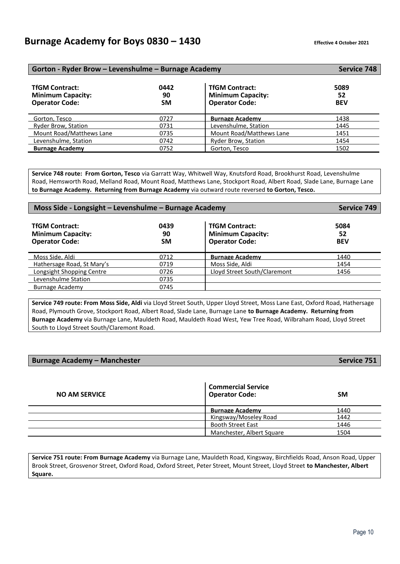### **Burnage Academy for Boys 0830 – 1430 Effective 4 October 2021**

| Gorton - Ryder Brow – Levenshulme – Burnage Academy                        |                         |                                                                            | Service 748              |
|----------------------------------------------------------------------------|-------------------------|----------------------------------------------------------------------------|--------------------------|
| <b>TfGM Contract:</b><br><b>Minimum Capacity:</b><br><b>Operator Code:</b> | 0442<br>90<br><b>SM</b> | <b>TfGM Contract:</b><br><b>Minimum Capacity:</b><br><b>Operator Code:</b> | 5089<br>52<br><b>BEV</b> |
| Gorton, Tesco                                                              | 0727                    | <b>Burnage Academy</b>                                                     | 1438                     |
| Ryder Brow, Station                                                        | 0731                    | Levenshulme, Station                                                       | 1445                     |
| Mount Road/Matthews Lane                                                   | 0735                    | Mount Road/Matthews Lane                                                   | 1451                     |
| Levenshulme, Station                                                       | 0742                    | <b>Ryder Brow, Station</b>                                                 | 1454                     |
| <b>Burnage Academy</b>                                                     | 0752                    | Gorton, Tesco                                                              | 1502                     |

**Service 748 route: From Gorton, Tesco** via Garratt Way, Whitwell Way, Knutsford Road, Brookhurst Road, Levenshulme Road, Hemsworth Road, Melland Road, Mount Road, Matthews Lane, Stockport Road, Albert Road, Slade Lane, Burnage Lane **to Burnage Academy. Returning from Burnage Academy** via outward route reversed **to Gorton, Tesco.**

| Moss Side - Longsight - Levenshulme - Burnage Academy                      |                         |                                                                            | Service 749              |
|----------------------------------------------------------------------------|-------------------------|----------------------------------------------------------------------------|--------------------------|
| <b>TfGM Contract:</b><br><b>Minimum Capacity:</b><br><b>Operator Code:</b> | 0439<br>90<br><b>SM</b> | <b>TfGM Contract:</b><br><b>Minimum Capacity:</b><br><b>Operator Code:</b> | 5084<br>52<br><b>BEV</b> |
| Moss Side, Aldi                                                            | 0712                    | <b>Burnage Academy</b>                                                     | 1440                     |
| Hathersage Road, St Mary's                                                 | 0719                    | Moss Side, Aldi                                                            | 1454                     |
| Longsight Shopping Centre                                                  | 0726                    | Lloyd Street South/Claremont                                               | 1456                     |
| Levenshulme Station                                                        | 0735                    |                                                                            |                          |
| Burnage Academy                                                            | 0745                    |                                                                            |                          |
|                                                                            |                         |                                                                            |                          |

**Service 749 route: From Moss Side, Aldi** via Lloyd Street South, Upper Lloyd Street, Moss Lane East, Oxford Road, Hathersage Road, Plymouth Grove, Stockport Road, Albert Road, Slade Lane, Burnage Lane **to Burnage Academy. Returning from Burnage Academy** via Burnage Lane, Mauldeth Road, Mauldeth Road West, Yew Tree Road, Wilbraham Road, Lloyd Street South to Lloyd Street South/Claremont Road.

### **Burnage Academy – Manchester Service 751**

| <b>NO AM SERVICE</b> | <b>Commercial Service</b><br><b>Operator Code:</b> | <b>SM</b> |
|----------------------|----------------------------------------------------|-----------|
|                      | <b>Burnage Academy</b>                             | 1440      |
|                      | Kingsway/Moseley Road                              | 1442      |
|                      | <b>Booth Street East</b>                           | 1446      |
|                      | Manchester, Albert Square                          | 1504      |

**Service 751 route: From Burnage Academy** via Burnage Lane, Mauldeth Road, Kingsway, Birchfields Road, Anson Road, Upper Brook Street, Grosvenor Street, Oxford Road, Oxford Street, Peter Street, Mount Street, Lloyd Street **to Manchester, Albert Square.**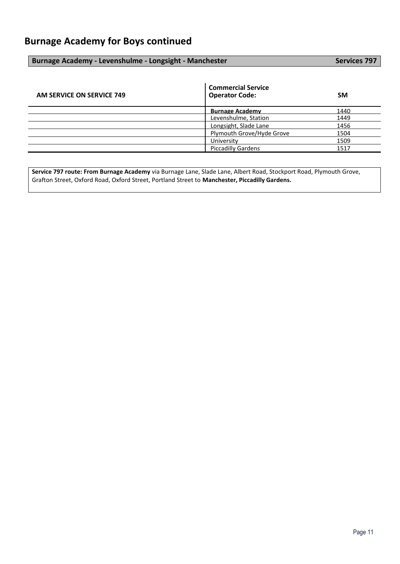### **Burnage Academy - Levenshulme - Longsight - Manchester Services 797** Services 797

| AM SERVICE ON SERVICE 749 | <b>Commercial Service</b><br><b>Operator Code:</b> | <b>SM</b> |
|---------------------------|----------------------------------------------------|-----------|
|                           | <b>Burnage Academy</b>                             | 1440      |
|                           | Levenshulme, Station                               | 1449      |
|                           | Longsight, Slade Lane                              | 1456      |
|                           | Plymouth Grove/Hyde Grove                          | 1504      |
|                           | University                                         | 1509      |
|                           | <b>Piccadilly Gardens</b>                          | 1517      |

**Service 797 route: From Burnage Academy** via Burnage Lane, Slade Lane, Albert Road, Stockport Road, Plymouth Grove, Grafton Street, Oxford Road, Oxford Street, Portland Street to **Manchester, Piccadilly Gardens.**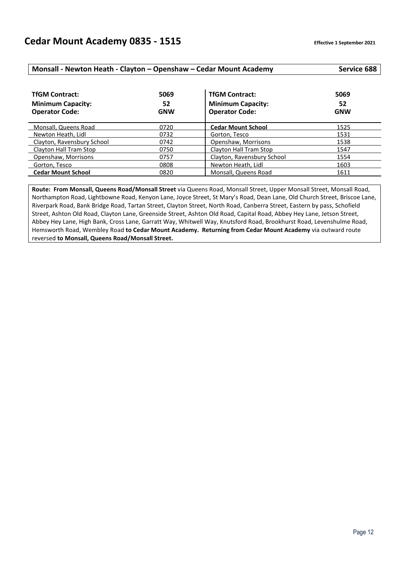### **Monsall - Newton Heath - Clayton – Openshaw – Cedar Mount Academy Service 688**

| <b>TfGM Contract:</b><br><b>Minimum Capacity:</b><br><b>Operator Code:</b> | 5069<br>52<br><b>GNW</b> | <b>TfGM Contract:</b><br><b>Minimum Capacity:</b><br><b>Operator Code:</b> | 5069<br>52<br><b>GNW</b> |
|----------------------------------------------------------------------------|--------------------------|----------------------------------------------------------------------------|--------------------------|
| Monsall, Queens Road                                                       | 0720                     | <b>Cedar Mount School</b>                                                  | 1525                     |
| Newton Heath, Lidl                                                         | 0732                     | Gorton, Tesco                                                              | 1531                     |
| Clayton, Ravensbury School                                                 | 0742                     | Openshaw, Morrisons                                                        | 1538                     |
| Clayton Hall Tram Stop                                                     | 0750                     | Clayton Hall Tram Stop                                                     | 1547                     |
| Openshaw, Morrisons                                                        | 0757                     | Clayton, Ravensbury School                                                 | 1554                     |
| Gorton, Tesco                                                              | 0808                     | Newton Heath, Lidl                                                         | 1603                     |
| <b>Cedar Mount School</b>                                                  | 0820                     | Monsall, Queens Road                                                       | 1611                     |

**Route: From Monsall, Queens Road/Monsall Street** via Queens Road, Monsall Street, Upper Monsall Street, Monsall Road, Northampton Road, Lightbowne Road, Kenyon Lane, Joyce Street, St Mary's Road, Dean Lane, Old Church Street, Briscoe Lane, Riverpark Road, Bank Bridge Road, Tartan Street, Clayton Street, North Road, Canberra Street, Eastern by pass, Schofield Street, Ashton Old Road, Clayton Lane, Greenside Street, Ashton Old Road, Capital Road, Abbey Hey Lane, Jetson Street, Abbey Hey Lane, High Bank, Cross Lane, Garratt Way, Whitwell Way, Knutsford Road, Brookhurst Road, Levenshulme Road, Hemsworth Road, Wembley Road **to Cedar Mount Academy. Returning from Cedar Mount Academy** via outward route reversed **to Monsall, Queens Road/Monsall Street.**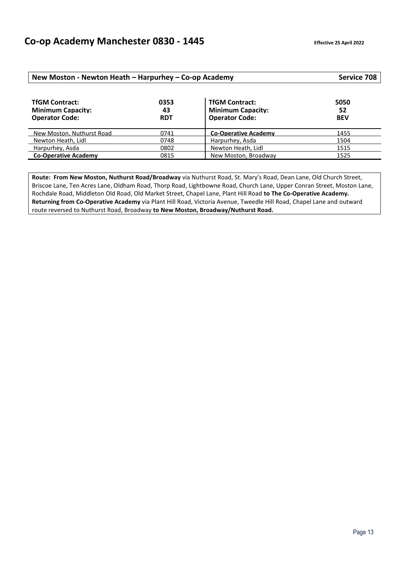| New Moston - Newton Heath - Harpurhey - Co-op Academy                      |                          |                                                                            | Service 708              |
|----------------------------------------------------------------------------|--------------------------|----------------------------------------------------------------------------|--------------------------|
| <b>TfGM Contract:</b><br><b>Minimum Capacity:</b><br><b>Operator Code:</b> | 0353<br>43<br><b>RDT</b> | <b>TfGM Contract:</b><br><b>Minimum Capacity:</b><br><b>Operator Code:</b> | 5050<br>52<br><b>BEV</b> |
| New Moston. Nuthurst Road                                                  | 0741                     | <b>Co-Operative Academy</b>                                                | 1455                     |
| Newton Heath, Lidl                                                         | 0748                     | Harpurhey, Asda                                                            | 1504                     |
| Harpurhey, Asda                                                            | 0802                     | Newton Heath, Lidl                                                         | 1515                     |
| <b>Co-Operative Academy</b>                                                | 0815                     | New Moston, Broadway                                                       | 1525                     |

**Route: From New Moston, Nuthurst Road/Broadway** via Nuthurst Road, St. Mary's Road, Dean Lane, Old Church Street, Briscoe Lane, Ten Acres Lane, Oldham Road, Thorp Road, Lightbowne Road, Church Lane, Upper Conran Street, Moston Lane, Rochdale Road, Middleton Old Road, Old Market Street, Chapel Lane, Plant Hill Road **to The Co-Operative Academy. Returning from Co-Operative Academy** via Plant Hill Road, Victoria Avenue, Tweedle Hill Road, Chapel Lane and outward route reversed to Nuthurst Road, Broadway **to New Moston, Broadway/Nuthurst Road.**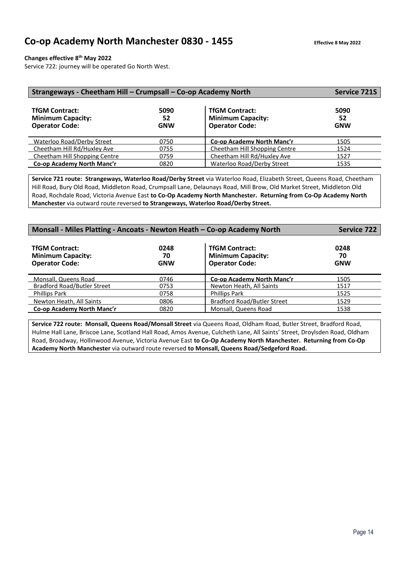### **Changes effective 8th May 2022**

Service 722: journey will be operated Go North West.

| Strangeways - Cheetham Hill - Crumpsall - Co-op Academy North              | <b>Service 721S</b>      |                                                                            |                          |
|----------------------------------------------------------------------------|--------------------------|----------------------------------------------------------------------------|--------------------------|
| <b>TfGM Contract:</b><br><b>Minimum Capacity:</b><br><b>Operator Code:</b> | 5090<br>52<br><b>GNW</b> | <b>TfGM Contract:</b><br><b>Minimum Capacity:</b><br><b>Operator Code:</b> | 5090<br>52<br><b>GNW</b> |
| Waterloo Road/Derby Street                                                 | 0750                     | Co-op Academy North Manc'r                                                 | 1505                     |
| Cheetham Hill Rd/Huxley Ave                                                | 0755                     | Cheetham Hill Shopping Centre                                              | 1524                     |
| Cheetham Hill Shopping Centre                                              | 0759                     | Cheetham Hill Rd/Huxley Ave                                                | 1527                     |
| Co-op Academy North Manc'r                                                 | 0820                     | Waterloo Road/Derby Street                                                 | 1535                     |

**Service 721 route: Strangeways, Waterloo Road/Derby Street** via Waterloo Road, Elizabeth Street, Queens Road, Cheetham Hill Road, Bury Old Road, Middleton Road, Crumpsall Lane, Delaunays Road, Mill Brow, Old Market Street, Middleton Old Road, Rochdale Road, Victoria Avenue East **to Co-Op Academy North Manchester. Returning from Co-Op Academy North Manchester** via outward route reversed **to Strangeways, Waterloo Road/Derby Street.** 

| Monsall - Miles Platting - Ancoats - Newton Heath - Co-op Academy North    | <b>Service 722</b>       |                                                                            |                          |
|----------------------------------------------------------------------------|--------------------------|----------------------------------------------------------------------------|--------------------------|
| <b>TfGM Contract:</b><br><b>Minimum Capacity:</b><br><b>Operator Code:</b> | 0248<br>70<br><b>GNW</b> | <b>TfGM Contract:</b><br><b>Minimum Capacity:</b><br><b>Operator Code:</b> | 0248<br>70<br><b>GNW</b> |
| Monsall. Queens Road                                                       | 0746                     | Co-op Academy North Manc'r                                                 | 1505                     |
| Bradford Road/Butler Street                                                | 0753                     | Newton Heath, All Saints                                                   | 1517                     |
| <b>Phillips Park</b>                                                       | 0758                     | <b>Phillips Park</b>                                                       | 1525                     |
| Newton Heath, All Saints                                                   | 0806                     | <b>Bradford Road/Butler Street</b>                                         | 1529                     |
| Co-op Academy North Manc'r                                                 | 0820                     | Monsall, Queens Road                                                       | 1538                     |

**Service 722 route: Monsall, Queens Road/Monsall Street** via Queens Road, Oldham Road, Butler Street, Bradford Road, Hulme Hall Lane, Briscoe Lane, Scotland Hall Road, Amos Avenue, Culcheth Lane, All Saints' Street, Droylsden Road, Oldham Road, Broadway, Hollinwood Avenue, Victoria Avenue East **to Co-Op Academy North Manchester. Returning from Co-Op Academy North Manchester** via outward route reversed **to Monsall, Queens Road/Sedgeford Road.**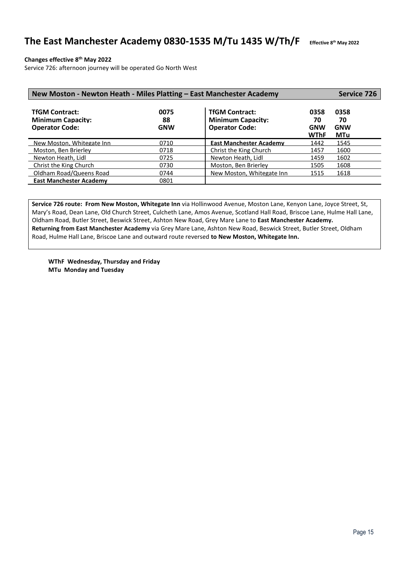### The East Manchester Academy 0830-1535 M/Tu 1435 W/Th/F

**th May 2022**

### **Changes effective 8th May 2022**

Service 726: afternoon journey will be operated Go North West

| New Moston - Newton Heath - Miles Platting - East Manchester Academy       |                          |                                                                            |                                         |                                        | Service 726 |
|----------------------------------------------------------------------------|--------------------------|----------------------------------------------------------------------------|-----------------------------------------|----------------------------------------|-------------|
| <b>TfGM Contract:</b><br><b>Minimum Capacity:</b><br><b>Operator Code:</b> | 0075<br>88<br><b>GNW</b> | <b>TfGM Contract:</b><br><b>Minimum Capacity:</b><br><b>Operator Code:</b> | 0358<br>70<br><b>GNW</b><br><b>WThF</b> | 0358<br>70<br><b>GNW</b><br><b>MTu</b> |             |
| New Moston, Whitegate Inn                                                  | 0710                     | <b>East Manchester Academy</b>                                             | 1442                                    | 1545                                   |             |
| Moston, Ben Brierley                                                       | 0718                     | Christ the King Church                                                     | 1457                                    | 1600                                   |             |
| Newton Heath, Lidl                                                         | 0725                     | Newton Heath, Lidl                                                         | 1459                                    | 1602                                   |             |
| Christ the King Church                                                     | 0730                     | Moston, Ben Brierley                                                       | 1505                                    | 1608                                   |             |
| Oldham Road/Queens Road                                                    | 0744                     | New Moston, Whitegate Inn                                                  | 1515                                    | 1618                                   |             |
| <b>East Manchester Academy</b>                                             | 0801                     |                                                                            |                                         |                                        |             |

**Service 726 route: From New Moston, Whitegate Inn** via Hollinwood Avenue, Moston Lane, Kenyon Lane, Joyce Street, St, Mary's Road, Dean Lane, Old Church Street, Culcheth Lane, Amos Avenue, Scotland Hall Road, Briscoe Lane, Hulme Hall Lane, Oldham Road, Butler Street, Beswick Street, Ashton New Road, Grey Mare Lane to **East Manchester Academy. Returning from East Manchester Academy** via Grey Mare Lane, Ashton New Road, Beswick Street, Butler Street, Oldham Road, Hulme Hall Lane, Briscoe Lane and outward route reversed **to New Moston, Whitegate Inn.**

**WThF Wednesday, Thursday and Friday MTu Monday and Tuesday**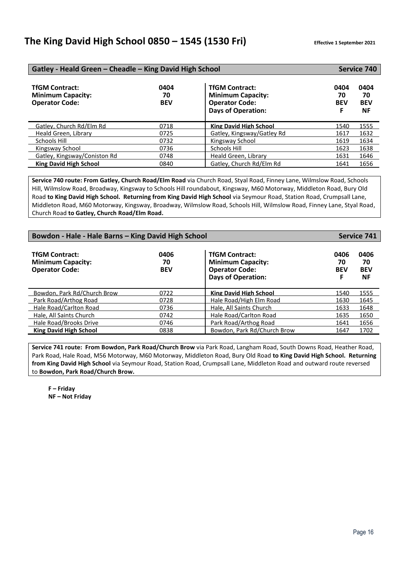| Gatley - Heald Green - Cheadle - King David High School                    |                          |                                                                                                         |                               | Service 740                           |  |
|----------------------------------------------------------------------------|--------------------------|---------------------------------------------------------------------------------------------------------|-------------------------------|---------------------------------------|--|
| <b>TfGM Contract:</b><br><b>Minimum Capacity:</b><br><b>Operator Code:</b> | 0404<br>70<br><b>BEV</b> | <b>TfGM Contract:</b><br><b>Minimum Capacity:</b><br><b>Operator Code:</b><br><b>Days of Operation:</b> | 0404<br>70<br><b>BEV</b><br>F | 0404<br>70<br><b>BEV</b><br><b>NF</b> |  |
| Gatley. Church Rd/Elm Rd                                                   | 0718                     | <b>King David High School</b>                                                                           | 1540                          | 1555                                  |  |
| Heald Green, Library                                                       | 0725                     | Gatley, Kingsway/Gatley Rd                                                                              | 1617                          | 1632                                  |  |
| Schools Hill                                                               | 0732                     | Kingsway School                                                                                         | 1619                          | 1634                                  |  |
| Kingsway School                                                            | 0736                     | Schools Hill                                                                                            | 1623                          | 1638                                  |  |
| Gatley, Kingsway/Coniston Rd                                               | 0748                     | Heald Green, Library                                                                                    | 1631                          | 1646                                  |  |
| <b>King David High School</b>                                              | 0840                     | Gatley, Church Rd/Elm Rd                                                                                | 1641                          | 1656                                  |  |

**Service 740 route: From Gatley, Church Road/Elm Road** via Church Road, Styal Road, Finney Lane, Wilmslow Road, Schools Hill, Wilmslow Road, Broadway, Kingsway to Schools Hill roundabout, Kingsway, M60 Motorway, Middleton Road, Bury Old Road **to King David High School. Returning from King David High School** via Seymour Road, Station Road, Crumpsall Lane, Middleton Road, M60 Motorway, Kingsway, Broadway, Wilmslow Road, Schools Hill, Wilmslow Road, Finney Lane, Styal Road, Church Road **to Gatley, Church Road/Elm Road.**

| Bowdon - Hale - Hale Barns - King David High School                        |                          |                                                                                                         |                               | <b>Service 741</b>                    |  |
|----------------------------------------------------------------------------|--------------------------|---------------------------------------------------------------------------------------------------------|-------------------------------|---------------------------------------|--|
| <b>TfGM Contract:</b><br><b>Minimum Capacity:</b><br><b>Operator Code:</b> | 0406<br>70<br><b>BEV</b> | <b>TfGM Contract:</b><br><b>Minimum Capacity:</b><br><b>Operator Code:</b><br><b>Days of Operation:</b> | 0406<br>70<br><b>BEV</b><br>F | 0406<br>70<br><b>BEV</b><br><b>NF</b> |  |
| Bowdon, Park Rd/Church Brow                                                | 0722                     | <b>King David High School</b>                                                                           | 1540                          | 1555                                  |  |
| Park Road/Arthog Road                                                      | 0728                     | Hale Road/High Elm Road                                                                                 | 1630                          | 1645                                  |  |
| Hale Road/Carlton Road                                                     | 0736                     | Hale, All Saints Church                                                                                 | 1633                          | 1648                                  |  |
| Hale, All Saints Church                                                    | 0742                     | Hale Road/Carlton Road                                                                                  | 1635                          | 1650                                  |  |
| Hale Road/Brooks Drive                                                     | 0746                     | Park Road/Arthog Road                                                                                   | 1641                          | 1656                                  |  |
| <b>King David High School</b>                                              | 0838                     | Bowdon, Park Rd/Church Brow                                                                             | 1647                          | 1702                                  |  |

**Service 741 route: From Bowdon, Park Road/Church Brow** via Park Road, Langham Road, South Downs Road, Heather Road, Park Road, Hale Road, M56 Motorway, M60 Motorway, Middleton Road, Bury Old Road **to King David High School. Returning from King David High School** via Seymour Road, Station Road, Crumpsall Lane, Middleton Road and outward route reversed to **Bowdon, Park Road/Church Brow.**

**F – Friday NF – Not Friday**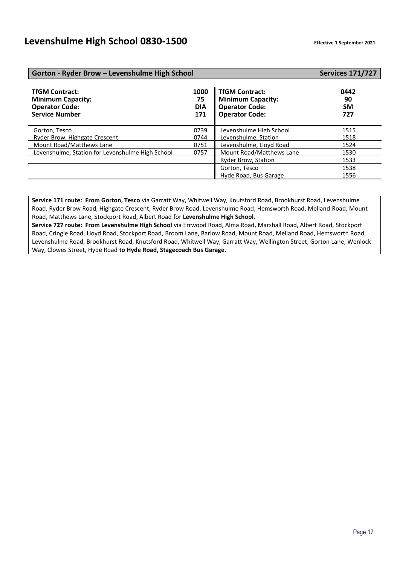### **Gorton - Ryder Brow – Levenshulme High School Services 171/727**

### TfGM Contract: 0442<br> **1000 TfGM Contract:** 0442<br>
75 **Minimum Capacity:** 90 **Minimum Capacity:**  $\begin{array}{c|c} 90 \text{ Denoted} \\ \hline \end{array}$  **75 Minimum Capacity:**  $\begin{array}{c} 90 \text{ Denoted} \\ \hline \end{array}$ **Operator Code: DIA Operator Code: SM Service Number** Gorton, Tesco 1515<br>
Ryder Brow, Highgate Crescent 1518<br>
1518 Levenshulme, Station 1518 Ryder Brow, Highgate Crescent 1992 0744<br>Mount Road/Matthews Lane 1996 Mount Road/Matthews Lane 1524 COMBIN 16000 COMBIN Levenshulme, Lloyd Road 1524 Levenshulme, Station for Levenshulme High School 0757 Mount Road/Matthews Lane 1530 Ryder Brow, Station 1533 Gorton, Tesco 1538 Hyde Road, Bus Garage 1556

**Service 171 route: From Gorton, Tesco** via Garratt Way, Whitwell Way, Knutsford Road, Brookhurst Road, Levenshulme Road, Ryder Brow Road, Highgate Crescent, Ryder Brow Road, Levenshulme Road, Hemsworth Road, Melland Road, Mount Road, Matthews Lane, Stockport Road, Albert Road for **Levenshulme High School.**

**Service 727 route: From Levenshulme High School** via Errwood Road, Alma Road, Marshall Road, Albert Road, Stockport Road, Cringle Road, Lloyd Road, Stockport Road, Broom Lane, Barlow Road, Mount Road, Melland Road, Hemsworth Road, Levenshulme Road, Brookhurst Road, Knutsford Road, Whitwell Way, Garratt Way, Wellington Street, Gorton Lane, Wenlock Way, Clowes Street, Hyde Road **to Hyde Road, Stagecoach Bus Garage.**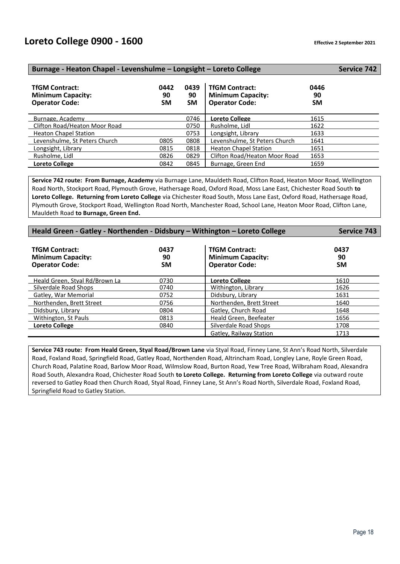| Burnage - Heaton Chapel - Levenshulme - Longsight - Loreto College         |                         |                         |                                                                            |                         |  |  |
|----------------------------------------------------------------------------|-------------------------|-------------------------|----------------------------------------------------------------------------|-------------------------|--|--|
| <b>TfGM Contract:</b><br><b>Minimum Capacity:</b><br><b>Operator Code:</b> | 0442<br>90<br><b>SM</b> | 0439<br>90<br><b>SM</b> | <b>TfGM Contract:</b><br><b>Minimum Capacity:</b><br><b>Operator Code:</b> | 0446<br>90<br><b>SM</b> |  |  |
| Burnage, Academy                                                           |                         | 0746                    | <b>Loreto College</b>                                                      | 1615                    |  |  |
| Clifton Road/Heaton Moor Road                                              |                         | 0750                    | Rusholme, Lidl                                                             | 1622                    |  |  |
| <b>Heaton Chapel Station</b>                                               |                         | 0753                    | Longsight, Library                                                         | 1633                    |  |  |
| Levenshulme, St Peters Church                                              | 0805                    | 0808                    | Levenshulme, St Peters Church                                              | 1641                    |  |  |
| Longsight, Library                                                         | 0815                    | 0818                    | <b>Heaton Chapel Station</b>                                               | 1651                    |  |  |
| Rusholme, Lidl                                                             | 0826                    | 0829                    | Clifton Road/Heaton Moor Road                                              | 1653                    |  |  |
| <b>Loreto College</b>                                                      | 0842                    | 0845                    | Burnage, Green End                                                         | 1659                    |  |  |

**Service 742 route: From Burnage, Academy** via Burnage Lane, Mauldeth Road, Clifton Road, Heaton Moor Road, Wellington Road North, Stockport Road, Plymouth Grove, Hathersage Road, Oxford Road, Moss Lane East, Chichester Road South **to Loreto College. Returning from Loreto College** via Chichester Road South, Moss Lane East, Oxford Road, Hathersage Road, Plymouth Grove, Stockport Road, Wellington Road North, Manchester Road, School Lane, Heaton Moor Road, Clifton Lane, Mauldeth Road **to Burnage, Green End.** 

| Heald Green - Gatley - Northenden - Didsbury - Withington - Loreto College | <b>Service 743</b>      |                                                                            |                         |
|----------------------------------------------------------------------------|-------------------------|----------------------------------------------------------------------------|-------------------------|
| <b>TfGM Contract:</b><br><b>Minimum Capacity:</b><br><b>Operator Code:</b> | 0437<br>90<br><b>SM</b> | <b>TfGM Contract:</b><br><b>Minimum Capacity:</b><br><b>Operator Code:</b> | 0437<br>90<br><b>SM</b> |
| Heald Green, Stval Rd/Brown La                                             | 0730                    | Loreto College                                                             | 1610                    |
| Silverdale Road Shops                                                      | 0740                    | Withington, Library                                                        | 1626                    |
| <b>Gatley. War Memorial</b>                                                | 0752                    | Didsbury. Library                                                          | 1631                    |
| Northenden, Brett Street                                                   | 0756                    | Northenden. Brett Street                                                   | 1640                    |
| Didsbury, Library                                                          | 0804                    | Gatley, Church Road                                                        | 1648                    |
| Withington, St Pauls                                                       | 0813                    | Heald Green, Beefeater                                                     | 1656                    |
| <b>Loreto College</b>                                                      | 0840                    | Silverdale Road Shops                                                      | 1708                    |
|                                                                            |                         | Gatley, Railway Station                                                    | 1713                    |

**Service 743 route: From Heald Green, Styal Road/Brown Lane** via Styal Road, Finney Lane, St Ann's Road North, Silverdale Road, Foxland Road, Springfield Road, Gatley Road, Northenden Road, Altrincham Road, Longley Lane, Royle Green Road, Church Road, Palatine Road, Barlow Moor Road, Wilmslow Road, Burton Road, Yew Tree Road, Wilbraham Road, Alexandra Road South, Alexandra Road, Chichester Road South **to Loreto College. Returning from Loreto College** via outward route reversed to Gatley Road then Church Road, Styal Road, Finney Lane, St Ann's Road North, Silverdale Road, Foxland Road, Springfield Road to Gatley Station.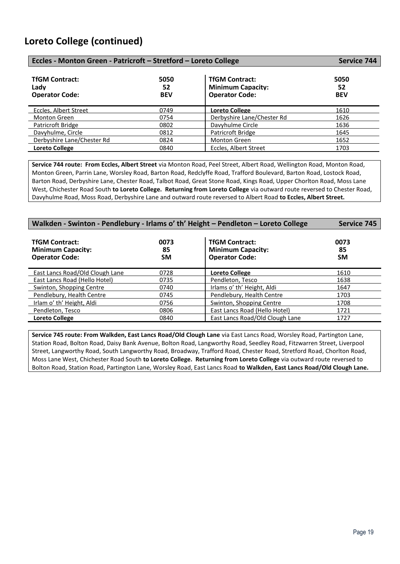### **Loreto College (continued)**

| Eccles - Monton Green - Patricroft - Stretford - Loreto College |                          |                                                                            | <b>Service 744</b>       |
|-----------------------------------------------------------------|--------------------------|----------------------------------------------------------------------------|--------------------------|
| <b>TfGM Contract:</b><br>Ladv<br><b>Operator Code:</b>          | 5050<br>52<br><b>BEV</b> | <b>TfGM Contract:</b><br><b>Minimum Capacity:</b><br><b>Operator Code:</b> | 5050<br>52<br><b>BEV</b> |
| Eccles. Albert Street                                           | 0749                     | <b>Loreto College</b>                                                      | 1610                     |
| Monton Green                                                    | 0754                     | Derbyshire Lane/Chester Rd                                                 | 1626                     |
| Patricroft Bridge                                               | 0802                     | Davyhulme Circle                                                           | 1636                     |
| Davyhulme, Circle                                               | 0812                     | Patricroft Bridge                                                          | 1645                     |
| Derbyshire Lane/Chester Rd                                      | 0824                     | Monton Green                                                               | 1652                     |
| <b>Loreto College</b>                                           | 0840                     | Eccles, Albert Street                                                      | 1703                     |

**Service 744 route: From Eccles, Albert Street** via Monton Road, Peel Street, Albert Road, Wellington Road, Monton Road, Monton Green, Parrin Lane, Worsley Road, Barton Road, Redclyffe Road, Trafford Boulevard, Barton Road, Lostock Road, Barton Road, Derbyshire Lane, Chester Road, Talbot Road, Great Stone Road, Kings Road, Upper Chorlton Road, Moss Lane West, Chichester Road South **to Loreto College. Returning from Loreto College** via outward route reversed to Chester Road, Davyhulme Road, Moss Road, Derbyshire Lane and outward route reversed to Albert Road **to Eccles, Albert Street.** 

| Walkden - Swinton - Pendlebury - Irlams o' th' Height - Pendleton - Loreto College | <b>Service 745</b> |                                                                            |                   |
|------------------------------------------------------------------------------------|--------------------|----------------------------------------------------------------------------|-------------------|
| <b>TfGM Contract:</b><br><b>Minimum Capacity:</b><br><b>Operator Code:</b>         | 0073<br>85<br>SΜ   | <b>TfGM Contract:</b><br><b>Minimum Capacity:</b><br><b>Operator Code:</b> | 0073<br>85<br>SM. |
| East Lancs Road/Old Clough Lane                                                    | 0728               | <b>Loreto College</b>                                                      | 1610              |
| East Lancs Road (Hello Hotel)                                                      | 0735               | Pendleton, Tesco                                                           | 1638              |
| Swinton, Shopping Centre                                                           | 0740               | Irlams o' th' Height, Aldi                                                 | 1647              |
| Pendlebury, Health Centre                                                          | 0745               | Pendlebury, Health Centre                                                  | 1703              |
| Irlam o' th' Height, Aldi                                                          | 0756               | Swinton, Shopping Centre                                                   | 1708              |
| Pendleton, Tesco                                                                   | 0806               | East Lancs Road (Hello Hotel)                                              | 1721              |
| <b>Loreto College</b>                                                              | 0840               | East Lancs Road/Old Clough Lane                                            | 1727              |

**Service 745 route: From Walkden, East Lancs Road/Old Clough Lane** via East Lancs Road, Worsley Road, Partington Lane, Station Road, Bolton Road, Daisy Bank Avenue, Bolton Road, Langworthy Road, Seedley Road, Fitzwarren Street, Liverpool Street, Langworthy Road, South Langworthy Road, Broadway, Trafford Road, Chester Road, Stretford Road, Chorlton Road, Moss Lane West, Chichester Road South **to Loreto College. Returning from Loreto College** via outward route reversed to Bolton Road, Station Road, Partington Lane, Worsley Road, East Lancs Road **to Walkden, East Lancs Road/Old Clough Lane.**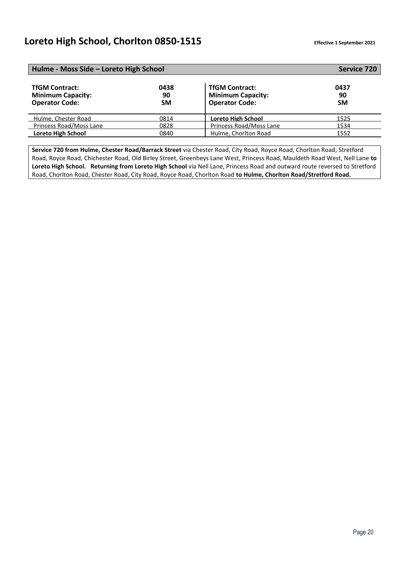### **Loreto High School, Chorlton 0850-1515 Effective 1 September <sup>2021</sup>**

| Hulme - Moss Side - Loreto High School                                     | <b>Service 720</b>      |                                                                            |                         |
|----------------------------------------------------------------------------|-------------------------|----------------------------------------------------------------------------|-------------------------|
| <b>TfGM Contract:</b><br><b>Minimum Capacity:</b><br><b>Operator Code:</b> | 0438<br>90<br><b>SM</b> | <b>TfGM Contract:</b><br><b>Minimum Capacity:</b><br><b>Operator Code:</b> | 0437<br>90<br><b>SM</b> |
| Hulme. Chester Road                                                        | 0814                    | <b>Loreto High School</b>                                                  | 1525                    |
| Princess Road/Moss Lane                                                    | 0828                    | Princess Road/Moss Lane                                                    | 1534                    |
| <b>Loreto High School</b>                                                  | 0840                    | Hulme, Chorlton Road                                                       | 1552                    |

**Service 720 from Hulme, Chester Road/Barrack Street** via Chester Road, City Road, Royce Road, Chorlton Road, Stretford Road, Royce Road, Chichester Road, Old Birley Street, Greenheys Lane West, Princess Road, Mauldeth Road West, Nell Lane **to Loreto High School. Returning from Loreto High School** via Nell Lane, Princess Road and outward route reversed to Stretford Road, Chorlton Road, Chester Road, City Road, Royce Road, Chorlton Road **to Hulme, Chorlton Road/Stretford Road.**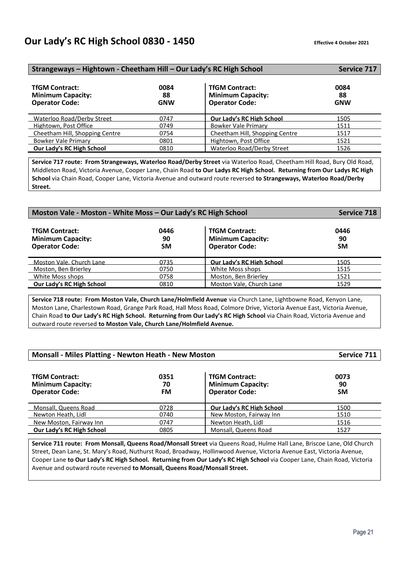### **Our Lady's RC High School 0830 - 1450 CHECK CONFERGATE:** Effective 4 October 2021

| Strangeways - Hightown - Cheetham Hill - Our Lady's RC High School         | <b>Service 717</b>       |                                                                            |                          |
|----------------------------------------------------------------------------|--------------------------|----------------------------------------------------------------------------|--------------------------|
| <b>TfGM Contract:</b><br><b>Minimum Capacity:</b><br><b>Operator Code:</b> | 0084<br>88<br><b>GNW</b> | <b>TfGM Contract:</b><br><b>Minimum Capacity:</b><br><b>Operator Code:</b> | 0084<br>88<br><b>GNW</b> |
| Waterloo Road/Derby Street                                                 | 0747                     | Our Lady's RC High School                                                  | 1505                     |
| Hightown, Post Office                                                      | 0749                     | Bowker Vale Primary                                                        | 1511                     |
| Cheetham Hill, Shopping Centre                                             | 0754                     | Cheetham Hill, Shopping Centre                                             | 1517                     |
| Bowker Vale Primary                                                        | 0801                     | Hightown, Post Office                                                      | 1521                     |
| Our Lady's RC High School                                                  | 0810                     | Waterloo Road/Derby Street                                                 | 1526                     |

**Service 717 route: From Strangeways, Waterloo Road/Derby Street** via Waterloo Road, Cheetham Hill Road, Bury Old Road, Middleton Road, Victoria Avenue, Cooper Lane, Chain Road **to Our Ladys RC High School. Returning from Our Ladys RC High School** via Chain Road, Cooper Lane, Victoria Avenue and outward route reversed **to Strangeways, Waterloo Road/Derby Street.**

| Moston Vale - Moston - White Moss - Our Lady's RC High School              |                         |                                                                            | <b>Service 718</b>      |
|----------------------------------------------------------------------------|-------------------------|----------------------------------------------------------------------------|-------------------------|
| <b>TfGM Contract:</b><br><b>Minimum Capacity:</b><br><b>Operator Code:</b> | 0446<br>90<br><b>SM</b> | <b>TfGM Contract:</b><br><b>Minimum Capacity:</b><br><b>Operator Code:</b> | 0446<br>90<br><b>SM</b> |
| Moston Vale, Church Lane                                                   | 0735                    | Our Lady's RC High School                                                  | 1505                    |
| Moston, Ben Brierley                                                       | 0750                    | White Moss shops                                                           | 1515                    |
| White Moss shops                                                           | 0758                    | Moston, Ben Brierley                                                       | 1521                    |
| Our Lady's RC High School                                                  | 0810                    | Moston Vale, Church Lane                                                   | 1529                    |

**Service 718 route: From Moston Vale, Church Lane/Holmfield Avenue** via Church Lane, Lightbowne Road, Kenyon Lane, Moston Lane, Charlestown Road, Grange Park Road, Hall Moss Road, Colmore Drive, Victoria Avenue East, Victoria Avenue, Chain Road **to Our Lady's RC High School. Returning from Our Lady's RC High School** via Chain Road, Victoria Avenue and outward route reversed **to Moston Vale, Church Lane/Holmfield Avenue.**

| <b>Monsall - Miles Platting - Newton Heath - New Moston</b>                | Service 711             |                           |      |
|----------------------------------------------------------------------------|-------------------------|---------------------------|------|
| <b>TfGM Contract:</b><br><b>Minimum Capacity:</b><br><b>Operator Code:</b> | 0073<br>90<br><b>SM</b> |                           |      |
| Monsall. Queens Road                                                       | 0728                    | Our Lady's RC High School | 1500 |
| Newton Heath, Lidl                                                         | 0740                    | New Moston, Fairway Inn   | 1510 |
| New Moston, Fairway Inn                                                    | 0747                    | Newton Heath, Lidl        | 1516 |

**Service 711 route: From Monsall, Queens Road/Monsall Street** via Queens Road, Hulme Hall Lane, Briscoe Lane, Old Church Street, Dean Lane, St. Mary's Road, Nuthurst Road, Broadway, Hollinwood Avenue, Victoria Avenue East, Victoria Avenue, Cooper Lane **to Our Lady's RC High School. Returning from Our Lady's RC High School** via Cooper Lane, Chain Road, Victoria Avenue and outward route reversed **to Monsall, Queens Road/Monsall Street.**

**Our Lady's RC High School 0805 Monsall, Queens Road 1527**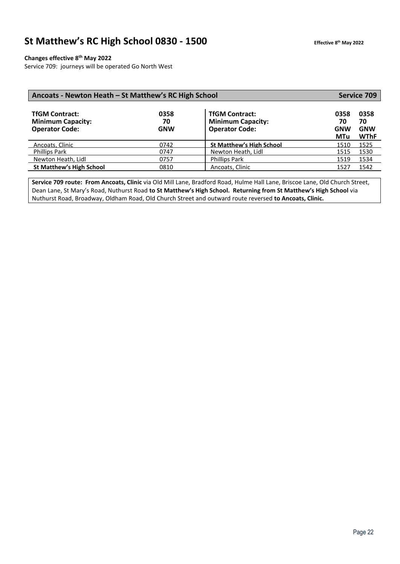### **St Matthew's RC High School 0830 - 1500**

### **Changes effective 8th May 2022**

Service 709: journeys will be operated Go North West

| Ancoats - Newton Heath – St Matthew's RC High School                       |                          |                                                                            | <b>Service 709</b>                     |                                         |
|----------------------------------------------------------------------------|--------------------------|----------------------------------------------------------------------------|----------------------------------------|-----------------------------------------|
| <b>TfGM Contract:</b><br><b>Minimum Capacity:</b><br><b>Operator Code:</b> | 0358<br>70<br><b>GNW</b> | <b>TfGM Contract:</b><br><b>Minimum Capacity:</b><br><b>Operator Code:</b> | 0358<br>70<br><b>GNW</b><br><b>MTu</b> | 0358<br>70<br><b>GNW</b><br><b>WThF</b> |
| Ancoats, Clinic                                                            | 0742                     | <b>St Matthew's High School</b>                                            | 1510                                   | 1525                                    |
| <b>Phillips Park</b>                                                       | 0747                     | Newton Heath, Lidl                                                         | 1515                                   | 1530                                    |
| Newton Heath, Lidl                                                         | 0757                     | <b>Phillips Park</b>                                                       | 1519                                   | 1534                                    |
| <b>St Matthew's High School</b>                                            | 0810                     | Ancoats, Clinic                                                            | 1527                                   | 1542                                    |

**Service 709 route: From Ancoats, Clinic** via Old Mill Lane, Bradford Road, Hulme Hall Lane, Briscoe Lane, Old Church Street, Dean Lane, St Mary's Road, Nuthurst Road **to St Matthew's High School. Returning from St Matthew's High School** via Nuthurst Road, Broadway, Oldham Road, Old Church Street and outward route reversed **to Ancoats, Clinic.**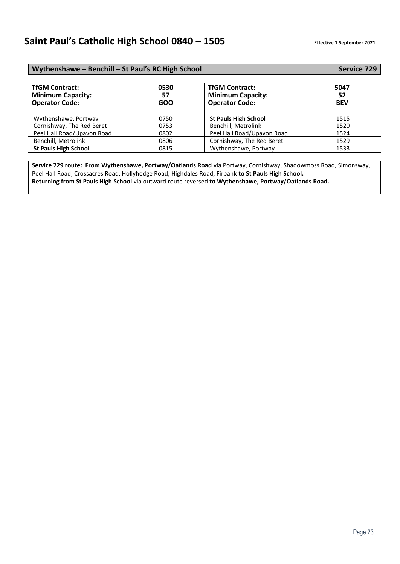| Wythenshawe - Benchill - St Paul's RC High School                          | <b>Service 729</b> |                                                                            |                          |
|----------------------------------------------------------------------------|--------------------|----------------------------------------------------------------------------|--------------------------|
| <b>TfGM Contract:</b><br><b>Minimum Capacity:</b><br><b>Operator Code:</b> | 0530<br>57<br>GOO  | <b>TfGM Contract:</b><br><b>Minimum Capacity:</b><br><b>Operator Code:</b> | 5047<br>52<br><b>BEV</b> |
| Wythenshawe, Portway                                                       | 0750               | <b>St Pauls High School</b>                                                | 1515                     |
| Cornishway, The Red Beret                                                  | 0753               | Benchill, Metrolink                                                        | 1520                     |
| Peel Hall Road/Upavon Road                                                 | 0802               | Peel Hall Road/Upavon Road                                                 | 1524                     |
| Benchill, Metrolink                                                        | 0806               | Cornishway, The Red Beret                                                  | 1529                     |
| <b>St Pauls High School</b>                                                | 0815               | Wythenshawe, Portway                                                       | 1533                     |

**Service 729 route: From Wythenshawe, Portway/Oatlands Road** via Portway, Cornishway, Shadowmoss Road, Simonsway, Peel Hall Road, Crossacres Road, Hollyhedge Road, Highdales Road, Firbank **to St Pauls High School. Returning from St Pauls High School** via outward route reversed **to Wythenshawe, Portway/Oatlands Road.**

Page 23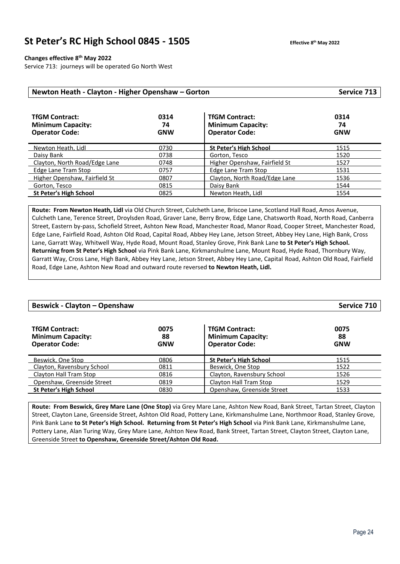### **St Peter's RC High School 0845 - 1505 Effective 8**

#### **Changes effective 8th May 2022**

Service 713: journeys will be operated Go North West

| Newton Heath - Clayton - Higher Openshaw - Gorton | Service 713 |                          |      |
|---------------------------------------------------|-------------|--------------------------|------|
| <b>TfGM Contract:</b>                             | 0314        | <b>TfGM Contract:</b>    | 0314 |
| <b>Minimum Capacity:</b>                          | 74          | <b>Minimum Capacity:</b> | 74   |

| <b>Operator Code:</b>         | <b>GNW</b> | <b>Operator Code:</b>         | <b>GNW</b> |
|-------------------------------|------------|-------------------------------|------------|
| Newton Heath, Lidl            | 0730       | <b>St Peter's High School</b> | 1515       |
| Daisy Bank                    | 0738       | Gorton, Tesco                 | 1520       |
| Clayton, North Road/Edge Lane | 0748       | Higher Openshaw, Fairfield St | 1527       |
| Edge Lane Tram Stop           | 0757       | Edge Lane Tram Stop           | 1531       |
| Higher Openshaw, Fairfield St | 0807       | Clayton, North Road/Edge Lane | 1536       |
| Gorton, Tesco                 | 0815       | Daisy Bank                    | 1544       |
| <b>St Peter's High School</b> | 0825       | Newton Heath, Lidl            | 1554       |
|                               |            |                               |            |

**Route: From Newton Heath, Lidl** via Old Church Street, Culcheth Lane, Briscoe Lane, Scotland Hall Road, Amos Avenue, Culcheth Lane, Terence Street, Droylsden Road, Graver Lane, Berry Brow, Edge Lane, Chatsworth Road, North Road, Canberra Street, Eastern by-pass, Schofield Street, Ashton New Road, Manchester Road, Manor Road, Cooper Street, Manchester Road, Edge Lane, Fairfield Road, Ashton Old Road, Capital Road, Abbey Hey Lane, Jetson Street, Abbey Hey Lane, High Bank, Cross Lane, Garratt Way, Whitwell Way, Hyde Road, Mount Road, Stanley Grove, Pink Bank Lane **to St Peter's High School. Returning from St Peter's High School** via Pink Bank Lane, Kirkmanshulme Lane, Mount Road, Hyde Road, Thornbury Way, Garratt Way, Cross Lane, High Bank, Abbey Hey Lane, Jetson Street, Abbey Hey Lane, Capital Road, Ashton Old Road, Fairfield Road, Edge Lane, Ashton New Road and outward route reversed **to Newton Heath, Lidl.**

| <b>Beswick - Clayton - Openshaw</b>                                        |                          |                                                                            | Service 710              |
|----------------------------------------------------------------------------|--------------------------|----------------------------------------------------------------------------|--------------------------|
| <b>TfGM Contract:</b><br><b>Minimum Capacity:</b><br><b>Operator Code:</b> | 0075<br>88<br><b>GNW</b> | <b>TfGM Contract:</b><br><b>Minimum Capacity:</b><br><b>Operator Code:</b> | 0075<br>88<br><b>GNW</b> |
| Beswick. One Stop                                                          | 0806                     | <b>St Peter's High School</b>                                              | 1515                     |
| Clayton, Ravensbury School                                                 | 0811                     | Beswick, One Stop                                                          | 1522                     |
| Clayton Hall Tram Stop                                                     | 0816                     | Clayton, Ravensbury School                                                 | 1526                     |
| Openshaw, Greenside Street                                                 | 0819                     | Clayton Hall Tram Stop                                                     | 1529                     |
| St Peter's High School                                                     | 0830                     | Openshaw, Greenside Street                                                 | 1533                     |

**Route: From Beswick, Grey Mare Lane (One Stop)** via Grey Mare Lane, Ashton New Road, Bank Street, Tartan Street, Clayton Street, Clayton Lane, Greenside Street, Ashton Old Road, Pottery Lane, Kirkmanshulme Lane, Northmoor Road, Stanley Grove, Pink Bank Lane **to St Peter's High School. Returning from St Peter's High School** via Pink Bank Lane, Kirkmanshulme Lane, Pottery Lane, Alan Turing Way, Grey Mare Lane, Ashton New Road, Bank Street, Tartan Street, Clayton Street, Clayton Lane, Greenside Street **to Openshaw, Greenside Street/Ashton Old Road.**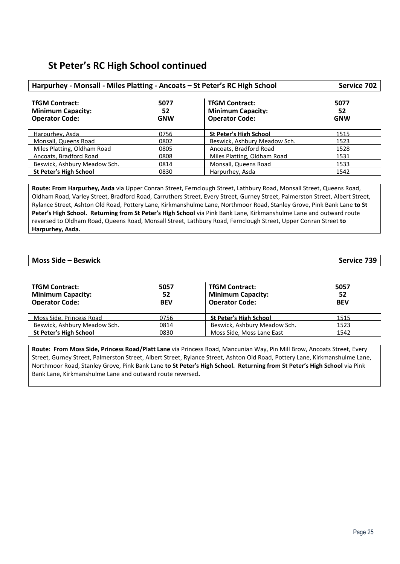### **St Peter's RC High School continued**

| Harpurhey - Monsall - Miles Platting - Ancoats - St Peter's RC High School | Service 702              |                                                                            |                          |
|----------------------------------------------------------------------------|--------------------------|----------------------------------------------------------------------------|--------------------------|
| <b>TfGM Contract:</b><br><b>Minimum Capacity:</b><br><b>Operator Code:</b> | 5077<br>52<br><b>GNW</b> | <b>TfGM Contract:</b><br><b>Minimum Capacity:</b><br><b>Operator Code:</b> | 5077<br>52<br><b>GNW</b> |
| Harpurhey, Asda                                                            | 0756                     | <b>St Peter's High School</b>                                              | 1515                     |
| Monsall, Queens Road                                                       | 0802                     | Beswick, Ashbury Meadow Sch.                                               | 1523                     |
| Miles Platting, Oldham Road                                                | 0805                     | Ancoats, Bradford Road                                                     | 1528                     |
| Ancoats, Bradford Road                                                     | 0808                     | Miles Platting, Oldham Road                                                | 1531                     |
| Beswick, Ashbury Meadow Sch.                                               | 0814                     | Monsall, Queens Road                                                       | 1533                     |
| <b>St Peter's High School</b>                                              | 0830                     | Harpurhey, Asda                                                            | 1542                     |

**Route: From Harpurhey, Asda** via Upper Conran Street, Fernclough Street, Lathbury Road, Monsall Street, Queens Road, Oldham Road, Varley Street, Bradford Road, Carruthers Street, Every Street, Gurney Street, Palmerston Street, Albert Street, Rylance Street, Ashton Old Road, Pottery Lane, Kirkmanshulme Lane, Northmoor Road, Stanley Grove, Pink Bank Lane **to St Peter's High School. Returning from St Peter's High School** via Pink Bank Lane, Kirkmanshulme Lane and outward route reversed to Oldham Road, Queens Road, Monsall Street, Lathbury Road, Fernclough Street, Upper Conran Street **to Harpurhey, Asda.**

### **Moss Side – Beswick Service 739**

| <b>TfGM Contract:</b><br><b>Minimum Capacity:</b><br><b>Operator Code:</b> | 5057<br>52<br><b>BEV</b> | <b>TfGM Contract:</b><br><b>Minimum Capacity:</b><br><b>Operator Code:</b> | 5057<br>52<br><b>BEV</b> |
|----------------------------------------------------------------------------|--------------------------|----------------------------------------------------------------------------|--------------------------|
| Moss Side, Princess Road                                                   | 0756                     | <b>St Peter's High School</b>                                              | 1515                     |
| Beswick, Ashbury Meadow Sch.                                               | 0814                     | Beswick, Ashbury Meadow Sch.                                               | 1523                     |
| St Peter's High School                                                     | 0830                     | Moss Side, Moss Lane East                                                  | 1542                     |

**Route: From Moss Side, Princess Road/Platt Lane** via Princess Road, Mancunian Way, Pin Mill Brow, Ancoats Street, Every Street, Gurney Street, Palmerston Street, Albert Street, Rylance Street, Ashton Old Road, Pottery Lane, Kirkmanshulme Lane, Northmoor Road, Stanley Grove, Pink Bank Lane **to St Peter's High School. Returning from St Peter's High School** via Pink Bank Lane, Kirkmanshulme Lane and outward route reversed**.**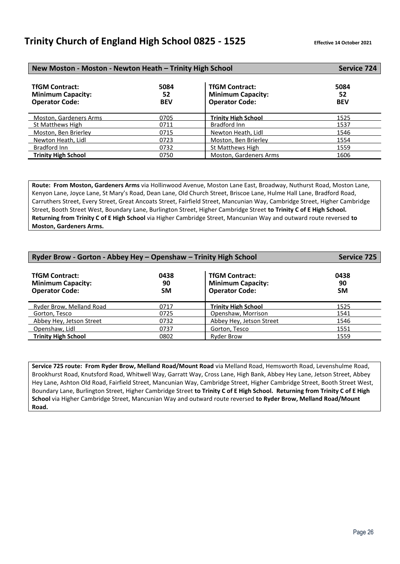### **Trinity Church of England High School 0825 - 1525 Effective 14 October <sup>2021</sup>**

| New Moston - Moston - Newton Heath - Trinity High School                   |                          |                                                                            | <b>Service 724</b>       |
|----------------------------------------------------------------------------|--------------------------|----------------------------------------------------------------------------|--------------------------|
| <b>TfGM Contract:</b><br><b>Minimum Capacity:</b><br><b>Operator Code:</b> | 5084<br>52<br><b>BEV</b> | <b>TfGM Contract:</b><br><b>Minimum Capacity:</b><br><b>Operator Code:</b> | 5084<br>52<br><b>BEV</b> |
| <b>Moston. Gardeners Arms</b>                                              | 0705                     | <b>Trinity High School</b>                                                 | 1525                     |
| St Matthews High                                                           | 0711                     | Bradford Inn                                                               | 1537                     |
| Moston, Ben Brierley                                                       | 0715                     | Newton Heath, Lidl                                                         | 1546                     |
| Newton Heath, Lidl                                                         | 0723                     | Moston, Ben Brierley                                                       | 1554                     |
| Bradford Inn                                                               | 0732                     | St Matthews High                                                           | 1559                     |
| <b>Trinity High School</b>                                                 | 0750                     | Moston, Gardeners Arms                                                     | 1606                     |

**Route: From Moston, Gardeners Arms** via Hollinwood Avenue, Moston Lane East, Broadway, Nuthurst Road, Moston Lane, Kenyon Lane, Joyce Lane, St Mary's Road, Dean Lane, Old Church Street, Briscoe Lane, Hulme Hall Lane, Bradford Road, Carruthers Street, Every Street, Great Ancoats Street, Fairfield Street, Mancunian Way, Cambridge Street, Higher Cambridge Street, Booth Street West, Boundary Lane, Burlington Street, Higher Cambridge Street **to Trinity C of E High School. Returning from Trinity C of E High School** via Higher Cambridge Street, Mancunian Way and outward route reversed **to Moston, Gardeners Arms.** 

| Ryder Brow - Gorton - Abbey Hey - Openshaw - Trinity High School           |                         |                                                                            | <b>Service 725</b>      |
|----------------------------------------------------------------------------|-------------------------|----------------------------------------------------------------------------|-------------------------|
| <b>TfGM Contract:</b><br><b>Minimum Capacity:</b><br><b>Operator Code:</b> | 0438<br>90<br><b>SM</b> | <b>TfGM Contract:</b><br><b>Minimum Capacity:</b><br><b>Operator Code:</b> | 0438<br>90<br><b>SM</b> |
| Ryder Brow, Melland Road                                                   | 0717                    | <b>Trinity High School</b>                                                 | 1525                    |
| Gorton, Tesco                                                              | 0725                    | Openshaw, Morrison                                                         | 1541                    |
| Abbey Hey, Jetson Street                                                   | 0732                    | Abbey Hey, Jetson Street                                                   | 1546                    |
| Openshaw, Lidl                                                             | 0737                    | Gorton, Tesco                                                              | 1551                    |
| <b>Trinity High School</b>                                                 | 0802                    | <b>Ryder Brow</b>                                                          | 1559                    |

**Service 725 route: From Ryder Brow, Melland Road/Mount Road** via Melland Road, Hemsworth Road, Levenshulme Road, Brookhurst Road, Knutsford Road, Whitwell Way, Garratt Way, Cross Lane, High Bank, Abbey Hey Lane, Jetson Street, Abbey Hey Lane, Ashton Old Road, Fairfield Street, Mancunian Way, Cambridge Street, Higher Cambridge Street, Booth Street West, Boundary Lane, Burlington Street, Higher Cambridge Street **to Trinity C of E High School. Returning from Trinity C of E High School** via Higher Cambridge Street, Mancunian Way and outward route reversed **to Ryder Brow, Melland Road/Mount Road.**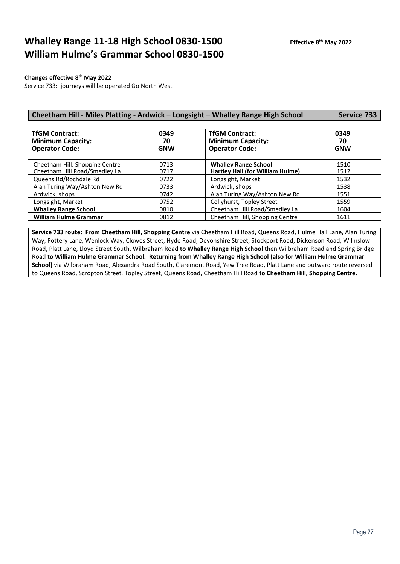# **Whalley Range 11-18 High School 0830-1500 William Hulme's Grammar School 0830-1500**

### **Changes effective 8th May 2022**

Service 733: journeys will be operated Go North West

| Cheetham Hill - Miles Platting - Ardwick - Longsight - Whalley Range High School |                          |                                                                            | <b>Service 733</b>       |
|----------------------------------------------------------------------------------|--------------------------|----------------------------------------------------------------------------|--------------------------|
| <b>TfGM Contract:</b><br><b>Minimum Capacity:</b><br><b>Operator Code:</b>       | 0349<br>70<br><b>GNW</b> | <b>TfGM Contract:</b><br><b>Minimum Capacity:</b><br><b>Operator Code:</b> | 0349<br>70<br><b>GNW</b> |
| Cheetham Hill, Shopping Centre                                                   | 0713                     | <b>Whalley Range School</b>                                                | 1510                     |
| Cheetham Hill Road/Smedley La                                                    | 0717                     | Hartley Hall (for William Hulme)                                           | 1512                     |
| Queens Rd/Rochdale Rd                                                            | 0722                     | Longsight, Market                                                          | 1532                     |
| Alan Turing Way/Ashton New Rd                                                    | 0733                     | Ardwick, shops                                                             | 1538                     |
| Ardwick, shops                                                                   | 0742                     | Alan Turing Way/Ashton New Rd                                              | 1551                     |
| Longsight, Market                                                                | 0752                     | Collyhurst, Topley Street                                                  | 1559                     |
| <b>Whalley Range School</b>                                                      | 0810                     | Cheetham Hill Road/Smedley La                                              | 1604                     |
| <b>William Hulme Grammar</b>                                                     | 0812                     | Cheetham Hill, Shopping Centre                                             | 1611                     |

**Service 733 route: From Cheetham Hill, Shopping Centre** via Cheetham Hill Road, Queens Road, Hulme Hall Lane, Alan Turing Way, Pottery Lane, Wenlock Way, Clowes Street, Hyde Road, Devonshire Street, Stockport Road, Dickenson Road, Wilmslow Road, Platt Lane, Lloyd Street South, Wilbraham Road **to Whalley Range High School** then Wilbraham Road and Spring Bridge Road **to William Hulme Grammar School. Returning from Whalley Range High School (also for William Hulme Grammar School)** via Wilbraham Road, Alexandra Road South, Claremont Road, Yew Tree Road, Platt Lane and outward route reversed to Queens Road, Scropton Street, Topley Street, Queens Road, Cheetham Hill Road **to Cheetham Hill, Shopping Centre.**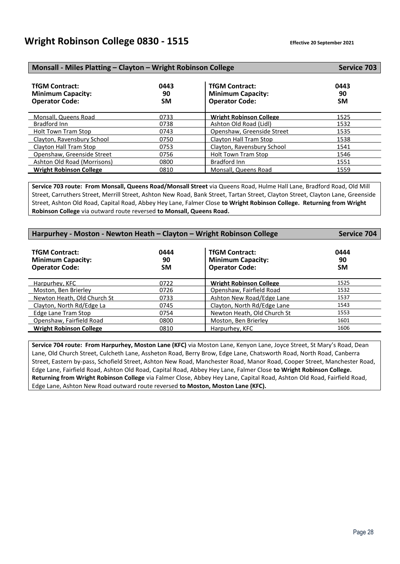| Monsall - Miles Platting - Clayton - Wright Robinson College               |                         |                                                                            | <b>Service 703</b>      |
|----------------------------------------------------------------------------|-------------------------|----------------------------------------------------------------------------|-------------------------|
| <b>TfGM Contract:</b><br><b>Minimum Capacity:</b><br><b>Operator Code:</b> | 0443<br>90<br><b>SM</b> | <b>TfGM Contract:</b><br><b>Minimum Capacity:</b><br><b>Operator Code:</b> | 0443<br>90<br><b>SM</b> |
| Monsall, Queens Road                                                       | 0733                    | <b>Wright Robinson College</b>                                             | 1525                    |
| Bradford Inn                                                               | 0738                    | Ashton Old Road (Lidl)                                                     | 1532                    |
| <b>Holt Town Tram Stop</b>                                                 | 0743                    | Openshaw, Greenside Street                                                 | 1535                    |
| Clayton, Ravensbury School                                                 | 0750                    | Clayton Hall Tram Stop                                                     | 1538                    |
| Clayton Hall Tram Stop                                                     | 0753                    | Clayton, Ravensbury School                                                 | 1541                    |
| Openshaw. Greenside Street                                                 | 0756                    | <b>Holt Town Tram Stop</b>                                                 | 1546                    |
| Ashton Old Road (Morrisons)                                                | 0800                    | Bradford Inn                                                               | 1551                    |
| <b>Wright Robinson College</b>                                             | 0810                    | Monsall, Queens Road                                                       | 1559                    |

**Service 703 route: From Monsall, Queens Road/Monsall Street** via Queens Road, Hulme Hall Lane, Bradford Road, Old Mill Street, Carruthers Street, Merrill Street, Ashton New Road, Bank Street, Tartan Street, Clayton Street, Clayton Lane, Greenside Street, Ashton Old Road, Capital Road, Abbey Hey Lane, Falmer Close **to Wright Robinson College. Returning from Wright Robinson College** via outward route reversed **to Monsall, Queens Road.**

| Harpurhey - Moston - Newton Heath - Clayton - Wright Robinson College      |                         |                                                                            | Service 704             |
|----------------------------------------------------------------------------|-------------------------|----------------------------------------------------------------------------|-------------------------|
| <b>TfGM Contract:</b><br><b>Minimum Capacity:</b><br><b>Operator Code:</b> | 0444<br>90<br><b>SM</b> | <b>TfGM Contract:</b><br><b>Minimum Capacity:</b><br><b>Operator Code:</b> | 0444<br>90<br><b>SM</b> |
| Harpurhey, KFC                                                             | 0722                    | <b>Wright Robinson College</b>                                             | 1525                    |
| Moston, Ben Brierley                                                       | 0726                    | Openshaw, Fairfield Road                                                   | 1532                    |
| Newton Heath, Old Church St                                                | 0733                    | Ashton New Road/Edge Lane                                                  | 1537                    |
| Clayton, North Rd/Edge La                                                  | 0745                    | Clayton, North Rd/Edge Lane                                                | 1543                    |
| Edge Lane Tram Stop                                                        | 0754                    | Newton Heath, Old Church St                                                | 1553                    |
| Openshaw, Fairfield Road                                                   | 0800                    | Moston, Ben Brierley                                                       | 1601                    |
| <b>Wright Robinson College</b>                                             | 0810                    | Harpurhey, KFC                                                             | 1606                    |

**Service 704 route: From Harpurhey, Moston Lane (KFC)** via Moston Lane, Kenyon Lane, Joyce Street, St Mary's Road, Dean Lane, Old Church Street, Culcheth Lane, Assheton Road, Berry Brow, Edge Lane, Chatsworth Road, North Road, Canberra Street, Eastern by-pass, Schofield Street, Ashton New Road, Manchester Road, Manor Road, Cooper Street, Manchester Road, Edge Lane, Fairfield Road, Ashton Old Road, Capital Road, Abbey Hey Lane, Falmer Close **to Wright Robinson College. Returning from Wright Robinson College** via Falmer Close, Abbey Hey Lane, Capital Road, Ashton Old Road, Fairfield Road, Edge Lane, Ashton New Road outward route reversed **to Moston, Moston Lane (KFC).**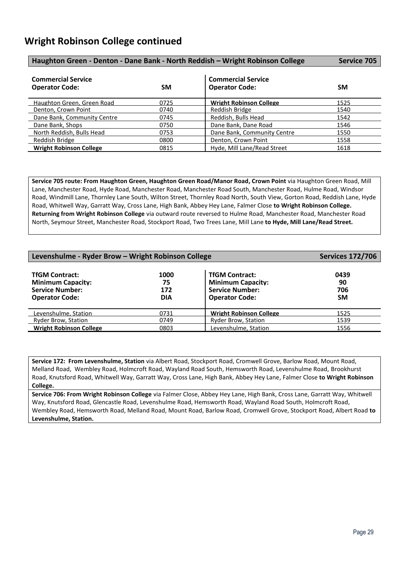| Haughton Green - Denton - Dane Bank - North Reddish - Wright Robinson College |           |                                                    | Service 705 |
|-------------------------------------------------------------------------------|-----------|----------------------------------------------------|-------------|
| <b>Commercial Service</b><br><b>Operator Code:</b>                            | <b>SM</b> | <b>Commercial Service</b><br><b>Operator Code:</b> | <b>SM</b>   |
| Haughton Green, Green Road                                                    | 0725      | <b>Wright Robinson College</b>                     | 1525        |
| Denton, Crown Point                                                           | 0740      | Reddish Bridge                                     | 1540        |
| Dane Bank, Community Centre                                                   | 0745      | Reddish, Bulls Head                                | 1542        |
| Dane Bank, Shops                                                              | 0750      | Dane Bank, Dane Road                               | 1546        |
| North Reddish, Bulls Head                                                     | 0753      | Dane Bank, Community Centre                        | 1550        |
| Reddish Bridge                                                                | 0800      | Denton, Crown Point                                | 1558        |
| <b>Wright Robinson College</b>                                                | 0815      | Hyde, Mill Lane/Read Street                        | 1618        |

**Service 705 route: From Haughton Green, Haughton Green Road/Manor Road, Crown Point** via Haughton Green Road, Mill Lane, Manchester Road, Hyde Road, Manchester Road, Manchester Road South, Manchester Road, Hulme Road, Windsor Road, Windmill Lane, Thornley Lane South, Wilton Street, Thornley Road North, South View, Gorton Road, Reddish Lane, Hyde Road, Whitwell Way, Garratt Way, Cross Lane, High Bank, Abbey Hey Lane, Falmer Close **to Wright Robinson College. Returning from Wright Robinson College** via outward route reversed to Hulme Road, Manchester Road, Manchester Road North, Seymour Street, Manchester Road, Stockport Road, Two Trees Lane, Mill Lane **to Hyde, Mill Lane/Read Street.**

| Levenshulme - Ryder Brow - Wright Robinson College                                                   |                                 |                                                                                                      | <b>Services 172/706</b>        |
|------------------------------------------------------------------------------------------------------|---------------------------------|------------------------------------------------------------------------------------------------------|--------------------------------|
| <b>TfGM Contract:</b><br><b>Minimum Capacity:</b><br><b>Service Number:</b><br><b>Operator Code:</b> | 1000<br>75<br>172<br><b>DIA</b> | <b>TfGM Contract:</b><br><b>Minimum Capacity:</b><br><b>Service Number:</b><br><b>Operator Code:</b> | 0439<br>90<br>706<br><b>SM</b> |
| Levenshulme. Station                                                                                 | 0731                            | <b>Wright Robinson College</b>                                                                       | 1525                           |
| <b>Ryder Brow, Station</b>                                                                           | 0749                            | Ryder Brow, Station                                                                                  | 1539                           |
| <b>Wright Robinson College</b>                                                                       | 0803                            | Levenshulme, Station                                                                                 | 1556                           |

**Service 172: From Levenshulme, Station** via Albert Road, Stockport Road, Cromwell Grove, Barlow Road, Mount Road, Melland Road, Wembley Road, Holmcroft Road, Wayland Road South, Hemsworth Road, Levenshulme Road, Brookhurst Road, Knutsford Road, Whitwell Way, Garratt Way, Cross Lane, High Bank, Abbey Hey Lane, Falmer Close **to Wright Robinson College.** 

**Service 706: From Wright Robinson College** via Falmer Close, Abbey Hey Lane, High Bank, Cross Lane, Garratt Way, Whitwell Way, Knutsford Road, Glencastle Road, Levenshulme Road, Hemsworth Road, Wayland Road South, Holmcroft Road, Wembley Road, Hemsworth Road, Melland Road, Mount Road, Barlow Road, Cromwell Grove, Stockport Road, Albert Road **to Levenshulme, Station.**